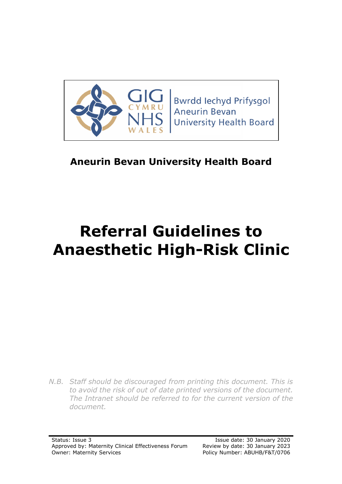

**Bwrdd lechyd Prifysgol Aneurin Bevan University Health Board** 

## **Aneurin Bevan University Health Board**

# **Referral Guidelines to Anaesthetic High-Risk Clinic**

*N.B. Staff should be discouraged from printing this document. This is to avoid the risk of out of date printed versions of the document. The Intranet should be referred to for the current version of the document.*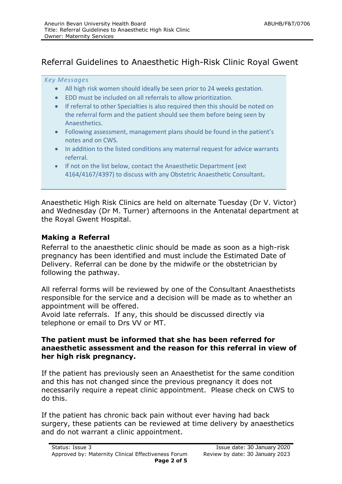#### Referral Guidelines to Anaesthetic High-Risk Clinic Royal Gwent

#### *Key Messages*

- All high risk women should ideally be seen prior to 24 weeks gestation.
- EDD must be included on all referrals to allow prioritization.
- If referral to other Specialties is also required then this should be noted on the referral form and the patient should see them before being seen by Anaesthetics.
- Following assessment, management plans should be found in the patient's notes and on CWS.
- In addition to the listed conditions any maternal request for advice warrants referral.
- If not on the list below, contact the Anaesthetic Department (ext 4164/4167/4397) to discuss with any Obstetric Anaesthetic Consultant**.**

Anaesthetic High Risk Clinics are held on alternate Tuesday (Dr V. Victor) and Wednesday (Dr M. Turner) afternoons in the Antenatal department at the Royal Gwent Hospital.

#### **Making a Referral**

Referral to the anaesthetic clinic should be made as soon as a high-risk pregnancy has been identified and must include the Estimated Date of Delivery. Referral can be done by the midwife or the obstetrician by following the pathway.

All referral forms will be reviewed by one of the Consultant Anaesthetists responsible for the service and a decision will be made as to whether an appointment will be offered.

Avoid late referrals. If any, this should be discussed directly via telephone or email to Drs VV or MT.

#### **The patient must be informed that she has been referred for anaesthetic assessment and the reason for this referral in view of her high risk pregnancy.**

If the patient has previously seen an Anaesthetist for the same condition and this has not changed since the previous pregnancy it does not necessarily require a repeat clinic appointment. Please check on CWS to do this.

If the patient has chronic back pain without ever having had back surgery, these patients can be reviewed at time delivery by anaesthetics and do not warrant a clinic appointment.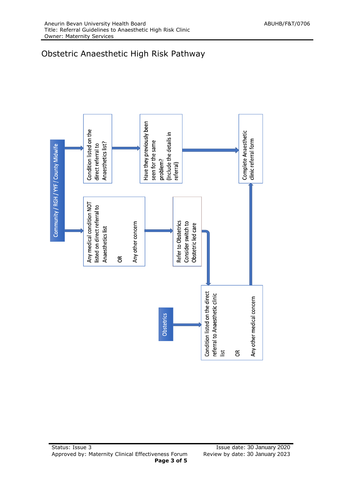## Obstetric Anaesthetic High Risk Pathway

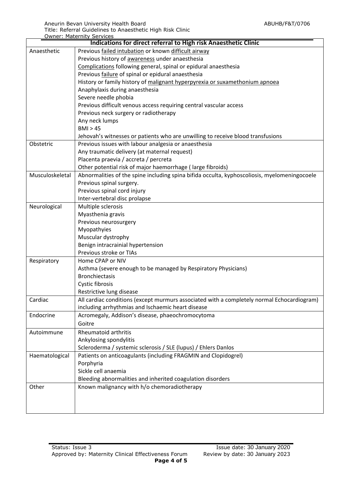|                                                                 | <b>Owner: Maternity Services</b>                                                             |  |  |  |  |
|-----------------------------------------------------------------|----------------------------------------------------------------------------------------------|--|--|--|--|
| Indications for direct referral to High risk Anaesthetic Clinic |                                                                                              |  |  |  |  |
| Anaesthetic                                                     | Previous failed intubation or known difficult airway                                         |  |  |  |  |
|                                                                 | Previous history of awareness under anaesthesia                                              |  |  |  |  |
|                                                                 | Complications following general, spinal or epidural anaesthesia                              |  |  |  |  |
|                                                                 | Previous failure of spinal or epidural anaesthesia                                           |  |  |  |  |
|                                                                 | History or family history of malignant hyperpyrexia or suxamethonium apnoea                  |  |  |  |  |
|                                                                 | Anaphylaxis during anaesthesia                                                               |  |  |  |  |
|                                                                 | Severe needle phobia                                                                         |  |  |  |  |
|                                                                 | Previous difficult venous access requiring central vascular access                           |  |  |  |  |
|                                                                 | Previous neck surgery or radiotherapy                                                        |  |  |  |  |
|                                                                 | Any neck lumps                                                                               |  |  |  |  |
|                                                                 | BMI > 45                                                                                     |  |  |  |  |
|                                                                 | Jehovah's witnesses or patients who are unwilling to receive blood transfusions              |  |  |  |  |
| Obstetric                                                       | Previous issues with labour analgesia or anaesthesia                                         |  |  |  |  |
|                                                                 | Any traumatic delivery (at maternal request)                                                 |  |  |  |  |
|                                                                 | Placenta praevia / accreta / percreta                                                        |  |  |  |  |
|                                                                 | Other potential risk of major haemorrhage (large fibroids)                                   |  |  |  |  |
| Musculoskeletal                                                 | Abnormalities of the spine including spina bifida occulta, kyphoscoliosis, myelomeningocoele |  |  |  |  |
|                                                                 | Previous spinal surgery.                                                                     |  |  |  |  |
|                                                                 | Previous spinal cord injury                                                                  |  |  |  |  |
|                                                                 | Inter-vertebral disc prolapse                                                                |  |  |  |  |
| Neurological                                                    | Multiple sclerosis                                                                           |  |  |  |  |
|                                                                 | Myasthenia gravis                                                                            |  |  |  |  |
|                                                                 | Previous neurosurgery                                                                        |  |  |  |  |
|                                                                 | Myopathyies                                                                                  |  |  |  |  |
|                                                                 | Muscular dystrophy                                                                           |  |  |  |  |
|                                                                 | Benign intracrainial hypertension                                                            |  |  |  |  |
|                                                                 | Previous stroke or TIAs                                                                      |  |  |  |  |
| Respiratory                                                     | Home CPAP or NIV                                                                             |  |  |  |  |
|                                                                 | Asthma (severe enough to be managed by Respiratory Physicians)                               |  |  |  |  |
|                                                                 | <b>Bronchiectasis</b>                                                                        |  |  |  |  |
|                                                                 | Cystic fibrosis                                                                              |  |  |  |  |
|                                                                 | Restrictive lung disease                                                                     |  |  |  |  |
| Cardiac                                                         | All cardiac conditions (except murmurs associated with a completely normal Echocardiogram)   |  |  |  |  |
|                                                                 | including arrhythmias and Ischaemic heart disease                                            |  |  |  |  |
| Endocrine                                                       | Acromegaly, Addison's disease, phaeochromocytoma                                             |  |  |  |  |
|                                                                 | Goitre                                                                                       |  |  |  |  |
| Autoimmune                                                      | Rheumatoid arthritis                                                                         |  |  |  |  |
|                                                                 | Ankylosing spondylitis                                                                       |  |  |  |  |
|                                                                 | Scleroderma / systemic sclerosis / SLE (lupus) / Ehlers Danlos                               |  |  |  |  |
| Haematological                                                  | Patients on anticoagulants (including FRAGMIN and Clopidogrel)                               |  |  |  |  |
|                                                                 | Porphyria                                                                                    |  |  |  |  |
|                                                                 | Sickle cell anaemia                                                                          |  |  |  |  |
|                                                                 | Bleeding abnormalities and inherited coagulation disorders                                   |  |  |  |  |
| Other                                                           | Known malignancy with h/o chemoradiotherapy                                                  |  |  |  |  |
|                                                                 |                                                                                              |  |  |  |  |
|                                                                 |                                                                                              |  |  |  |  |
|                                                                 |                                                                                              |  |  |  |  |